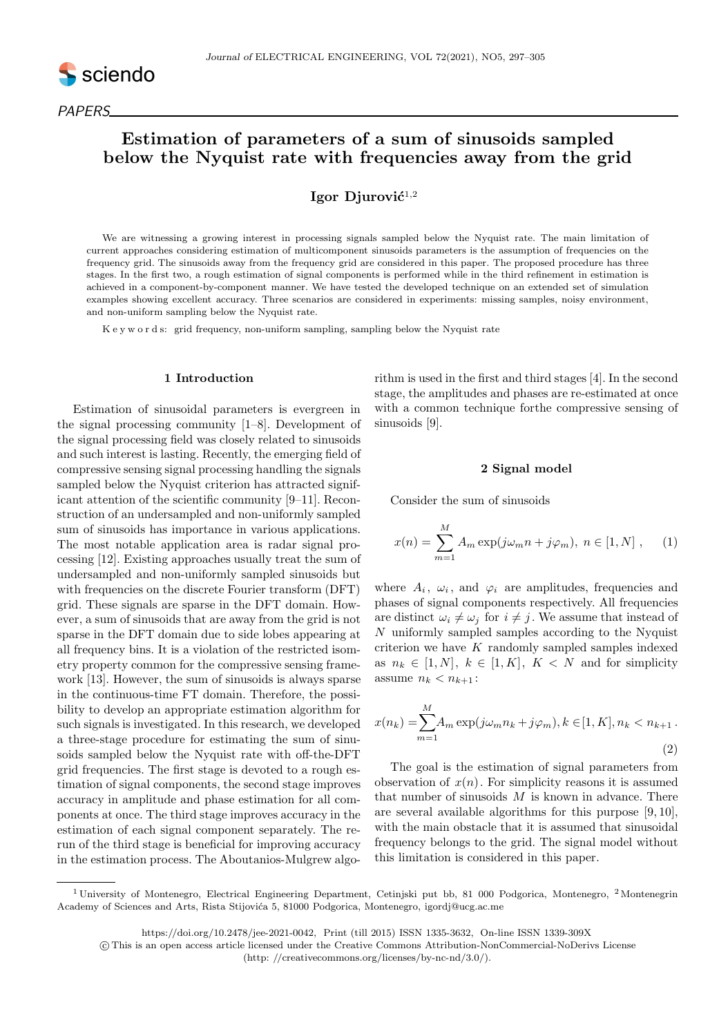

# Estimation of parameters of a sum of sinusoids sampled below the Nyquist rate with frequencies away from the grid

# Igor Diurović $^{1,2}$

We are witnessing a growing interest in processing signals sampled below the Nyquist rate. The main limitation of current approaches considering estimation of multicomponent sinusoids parameters is the assumption of frequencies on the frequency grid. The sinusoids away from the frequency grid are considered in this paper. The proposed procedure has three stages. In the first two, a rough estimation of signal components is performed while in the third refinement in estimation is achieved in a component-by-component manner. We have tested the developed technique on an extended set of simulation examples showing excellent accuracy. Three scenarios are considered in experiments: missing samples, noisy environment, and non-uniform sampling below the Nyquist rate.

K e y w o r d s: grid frequency, non-uniform sampling, sampling below the Nyquist rate

## 1 Introduction

Estimation of sinusoidal parameters is evergreen in the signal processing community [1–8]. Development of the signal processing field was closely related to sinusoids and such interest is lasting. Recently, the emerging field of compressive sensing signal processing handling the signals sampled below the Nyquist criterion has attracted significant attention of the scientific community [9–11]. Reconstruction of an undersampled and non-uniformly sampled sum of sinusoids has importance in various applications. The most notable application area is radar signal processing [12]. Existing approaches usually treat the sum of undersampled and non-uniformly sampled sinusoids but with frequencies on the discrete Fourier transform (DFT) grid. These signals are sparse in the DFT domain. However, a sum of sinusoids that are away from the grid is not sparse in the DFT domain due to side lobes appearing at all frequency bins. It is a violation of the restricted isometry property common for the compressive sensing framework [13]. However, the sum of sinusoids is always sparse in the continuous-time FT domain. Therefore, the possibility to develop an appropriate estimation algorithm for such signals is investigated. In this research, we developed a three-stage procedure for estimating the sum of sinusoids sampled below the Nyquist rate with off-the-DFT grid frequencies. The first stage is devoted to a rough estimation of signal components, the second stage improves accuracy in amplitude and phase estimation for all components at once. The third stage improves accuracy in the estimation of each signal component separately. The rerun of the third stage is beneficial for improving accuracy in the estimation process. The Aboutanios-Mulgrew algorithm is used in the first and third stages [4]. In the second stage, the amplitudes and phases are re-estimated at once with a common technique forthe compressive sensing of sinusoids [9].

#### 2 Signal model

Consider the sum of sinusoids

$$
x(n) = \sum_{m=1}^{M} A_m \exp(j\omega_m n + j\varphi_m), \ n \in [1, N], \qquad (1)
$$

where  $A_i$ ,  $\omega_i$ , and  $\varphi_i$  are amplitudes, frequencies and phases of signal components respectively. All frequencies are distinct  $\omega_i \neq \omega_j$  for  $i \neq j$ . We assume that instead of  $N$  uniformly sampled samples according to the Nyquist criterion we have  $K$  randomly sampled samples indexed as  $n_k \in [1, N], k \in [1, K], K < N$  and for simplicity assume  $n_k < n_{k+1}$ :

$$
x(n_k) = \sum_{m=1}^{M} A_m \exp(j\omega_m n_k + j\varphi_m), k \in [1, K], n_k < n_{k+1} \tag{2}
$$

The goal is the estimation of signal parameters from observation of  $x(n)$ . For simplicity reasons it is assumed that number of sinusoids  $M$  is known in advance. There are several available algorithms for this purpose [9, 10], with the main obstacle that it is assumed that sinusoidal frequency belongs to the grid. The signal model without this limitation is considered in this paper.

<sup>&</sup>lt;sup>1</sup> University of Montenegro, Electrical Engineering Department, Cetinjski put bb, 81 000 Podgorica, Montenegro, <sup>2</sup> Montenegrin Academy of Sciences and Arts, Rista Stijovića 5, 81000 Podgorica, Montenegro, igordj@ucg.ac.me

https://doi.org/10.2478/jee-2021-0042, Print (till 2015) ISSN 1335-3632, On-line ISSN 1339-309X

c This is an open access article licensed under the Creative Commons Attribution-NonCommercial-NoDerivs License

<sup>(</sup>http: //creativecommons.org/licenses/by-nc-nd/3.0/).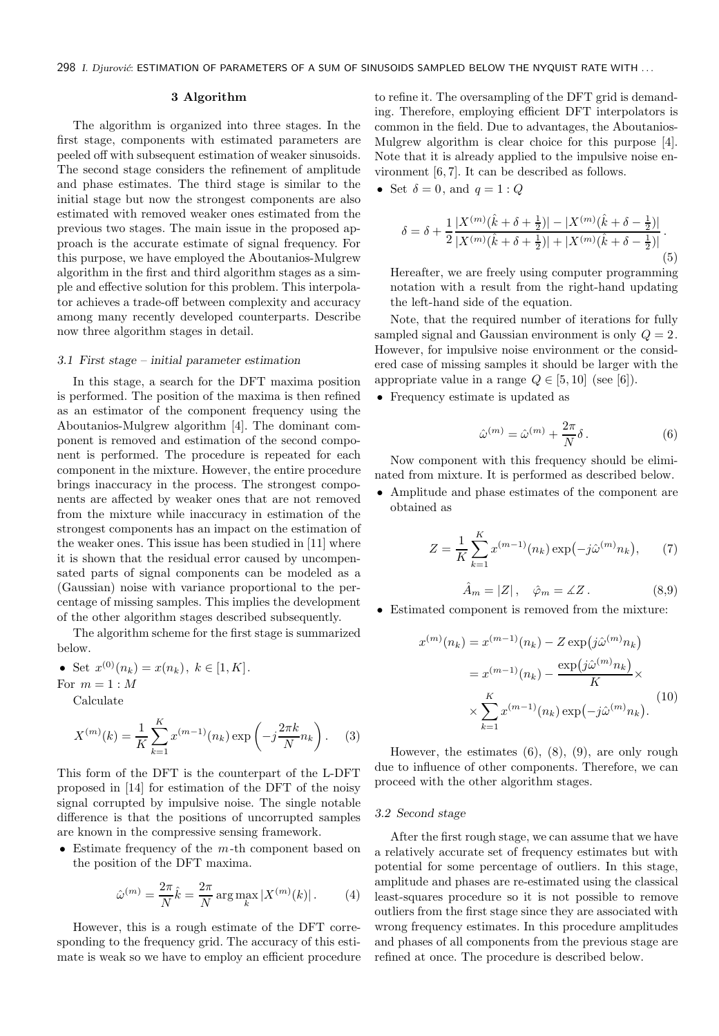298 I. Djurović: ESTIMATION OF PARAMETERS OF A SUM OF SINUSOIDS SAMPLED BELOW THE NYQUIST RATE WITH ...

# 3 Algorithm

The algorithm is organized into three stages. In the first stage, components with estimated parameters are peeled off with subsequent estimation of weaker sinusoids. The second stage considers the refinement of amplitude and phase estimates. The third stage is similar to the initial stage but now the strongest components are also estimated with removed weaker ones estimated from the previous two stages. The main issue in the proposed approach is the accurate estimate of signal frequency. For this purpose, we have employed the Aboutanios-Mulgrew algorithm in the first and third algorithm stages as a simple and effective solution for this problem. This interpolator achieves a trade-off between complexity and accuracy among many recently developed counterparts. Describe now three algorithm stages in detail.

#### 3.1 First stage – initial parameter estimation

In this stage, a search for the DFT maxima position is performed. The position of the maxima is then refined as an estimator of the component frequency using the Aboutanios-Mulgrew algorithm [4]. The dominant component is removed and estimation of the second component is performed. The procedure is repeated for each component in the mixture. However, the entire procedure brings inaccuracy in the process. The strongest components are affected by weaker ones that are not removed from the mixture while inaccuracy in estimation of the strongest components has an impact on the estimation of the weaker ones. This issue has been studied in [11] where it is shown that the residual error caused by uncompensated parts of signal components can be modeled as a (Gaussian) noise with variance proportional to the percentage of missing samples. This implies the development of the other algorithm stages described subsequently.

The algorithm scheme for the first stage is summarized below.

• Set  $x^{(0)}(n_k) = x(n_k), k \in [1, K].$ For  $m = 1 : M$ 

Calculate

$$
X^{(m)}(k) = \frac{1}{K} \sum_{k=1}^{K} x^{(m-1)}(n_k) \exp\left(-j\frac{2\pi k}{N}n_k\right).
$$
 (3)

This form of the DFT is the counterpart of the L-DFT proposed in [14] for estimation of the DFT of the noisy signal corrupted by impulsive noise. The single notable difference is that the positions of uncorrupted samples are known in the compressive sensing framework.

• Estimate frequency of the  $m$ -th component based on the position of the DFT maxima.

$$
\hat{\omega}^{(m)} = \frac{2\pi}{N} \hat{k} = \frac{2\pi}{N} \arg \max_{k} |X^{(m)}(k)|.
$$
 (4)

However, this is a rough estimate of the DFT corresponding to the frequency grid. The accuracy of this estimate is weak so we have to employ an efficient procedure

to refine it. The oversampling of the DFT grid is demanding. Therefore, employing efficient DFT interpolators is common in the field. Due to advantages, the Aboutanios-Mulgrew algorithm is clear choice for this purpose [4]. Note that it is already applied to the impulsive noise environment [6, 7]. It can be described as follows.

• Set  $\delta = 0$ , and  $q = 1: Q$ 

$$
\delta = \delta + \frac{1}{2} \frac{|X^{(m)}(\hat{k} + \delta + \frac{1}{2})| - |X^{(m)}(\hat{k} + \delta - \frac{1}{2})|}{|X^{(m)}(\hat{k} + \delta + \frac{1}{2})| + |X^{(m)}(\hat{k} + \delta - \frac{1}{2})|}.
$$
\n(5)

Hereafter, we are freely using computer programming notation with a result from the right-hand updating the left-hand side of the equation.

Note, that the required number of iterations for fully sampled signal and Gaussian environment is only  $Q = 2$ . However, for impulsive noise environment or the considered case of missing samples it should be larger with the appropriate value in a range  $Q \in [5, 10]$  (see [6]).

• Frequency estimate is updated as

$$
\hat{\omega}^{(m)} = \hat{\omega}^{(m)} + \frac{2\pi}{N} \delta.
$$
\n(6)

Now component with this frequency should be eliminated from mixture. It is performed as described below.

• Amplitude and phase estimates of the component are obtained as

$$
Z = \frac{1}{K} \sum_{k=1}^{K} x^{(m-1)}(n_k) \exp(-j\hat{\omega}^{(m)} n_k), \qquad (7)
$$

$$
\hat{A}_m = |Z| \,, \quad \hat{\varphi}_m = \measuredangle Z \,. \tag{8.9}
$$

• Estimated component is removed from the mixture:

$$
x^{(m)}(n_k) = x^{(m-1)}(n_k) - Z \exp(j\hat{\omega}^{(m)}n_k)
$$

$$
= x^{(m-1)}(n_k) - \frac{\exp(j\hat{\omega}^{(m)}n_k)}{K} \times
$$

$$
\times \sum_{k=1}^{K} x^{(m-1)}(n_k) \exp(-j\hat{\omega}^{(m)}n_k).
$$
(10)

However, the estimates  $(6)$ ,  $(8)$ ,  $(9)$ , are only rough due to influence of other components. Therefore, we can proceed with the other algorithm stages.

#### 3.2 Second stage

After the first rough stage, we can assume that we have a relatively accurate set of frequency estimates but with potential for some percentage of outliers. In this stage, amplitude and phases are re-estimated using the classical least-squares procedure so it is not possible to remove outliers from the first stage since they are associated with wrong frequency estimates. In this procedure amplitudes and phases of all components from the previous stage are refined at once. The procedure is described below.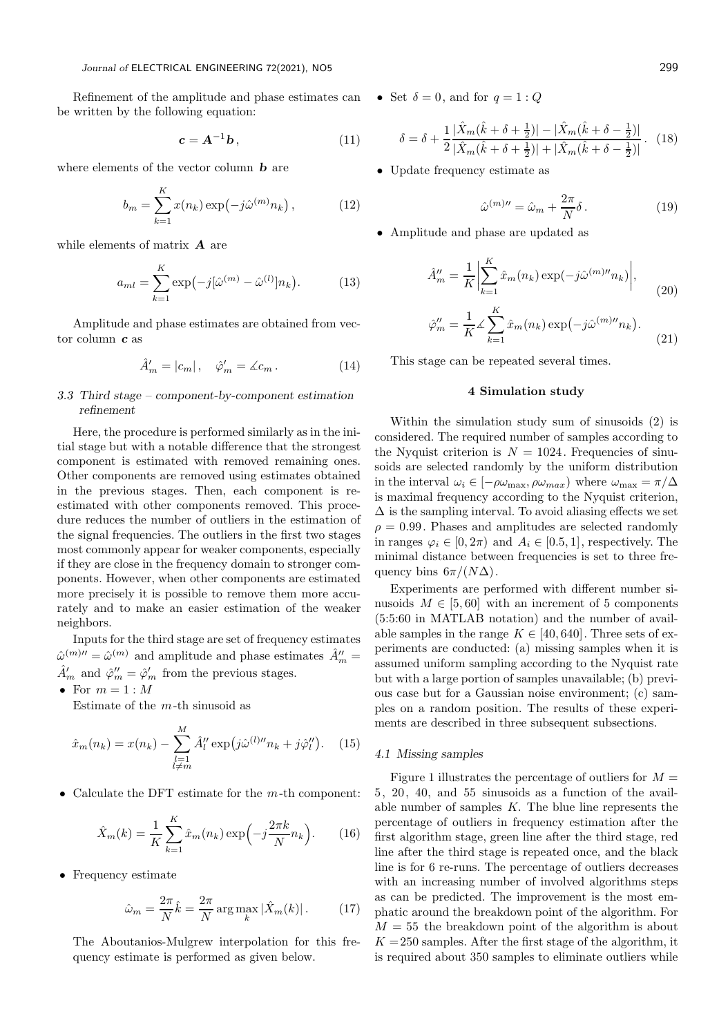Refinement of the amplitude and phase estimates can  $\bullet$  Set  $\delta = 0$ , and for  $q = 1: Q$ be written by the following equation:

$$
\mathbf{c} = \mathbf{A}^{-1} \mathbf{b},\tag{11}
$$

where elements of the vector column  **are** 

$$
b_m = \sum_{k=1}^{K} x(n_k) \exp(-j\hat{\omega}^{(m)} n_k), \qquad (12)
$$

while elements of matrix **A** are

$$
a_{ml} = \sum_{k=1}^{K} \exp(-j[\hat{\omega}^{(m)} - \hat{\omega}^{(l)}]n_k).
$$
 (13)

Amplitude and phase estimates are obtained from vector column c as

$$
\hat{A}'_m = |c_m| \,, \quad \hat{\varphi}'_m = \measuredangle c_m \,. \tag{14}
$$

# 3.3 Third stage – component-by-component estimation refinement

Here, the procedure is performed similarly as in the initial stage but with a notable difference that the strongest component is estimated with removed remaining ones. Other components are removed using estimates obtained in the previous stages. Then, each component is reestimated with other components removed. This procedure reduces the number of outliers in the estimation of the signal frequencies. The outliers in the first two stages most commonly appear for weaker components, especially if they are close in the frequency domain to stronger components. However, when other components are estimated more precisely it is possible to remove them more accurately and to make an easier estimation of the weaker neighbors.

Inputs for the third stage are set of frequency estimates  $\hat{\omega}^{(m)\prime\prime} = \hat{\omega}^{(m)}$  and amplitude and phase estimates  $\hat{A}^{\prime\prime}_{m} =$  $\hat{A}'_m$  and  $\hat{\varphi}''_m = \hat{\varphi}'_m$  from the previous stages.

• For  $m=1:M$ 

Estimate of the  $m$ -th sinusoid as

$$
\hat{x}_m(n_k) = x(n_k) - \sum_{\substack{l=1\\l \neq m}}^M \hat{A}_l^{\prime\prime} \exp(j\hat{\omega}^{(l)\prime\prime} n_k + j\hat{\varphi}_l^{\prime\prime}). \tag{15}
$$

• Calculate the DFT estimate for the  $m$ -th component:

$$
\hat{X}_m(k) = \frac{1}{K} \sum_{k=1}^{K} \hat{x}_m(n_k) \exp\left(-j\frac{2\pi k}{N}n_k\right).
$$
 (16)

• Frequency estimate

$$
\hat{\omega}_m = \frac{2\pi}{N}\hat{k} = \frac{2\pi}{N} \arg\max_k |\hat{X}_m(k)|.
$$
 (17)

The Aboutanios-Mulgrew interpolation for this frequency estimate is performed as given below.

$$
\delta = \delta + \frac{1}{2} \frac{|\hat{X}_m(\hat{k} + \delta + \frac{1}{2})| - |\hat{X}_m(\hat{k} + \delta - \frac{1}{2})|}{|\hat{X}_m(\hat{k} + \delta + \frac{1}{2})| + |\hat{X}_m(\hat{k} + \delta - \frac{1}{2})|}.
$$
 (18)

• Update frequency estimate as

$$
\hat{\omega}^{(m)\prime\prime} = \hat{\omega}_m + \frac{2\pi}{N} \delta. \tag{19}
$$

• Amplitude and phase are updated as

$$
\hat{A}_m'' = \frac{1}{K} \left| \sum_{k=1}^K \hat{x}_m(n_k) \exp(-j\hat{\omega}^{(m)\prime\prime} n_k) \right|, \tag{20}
$$

$$
\hat{\varphi}'_m = \frac{1}{K} \measuredangle \sum_{k=1}^K \hat{x}_m(n_k) \exp(-j\hat{\omega}^{(m)\prime\prime} n_k).
$$
\n(21)

This stage can be repeated several times.

# 4 Simulation study

Within the simulation study sum of sinusoids (2) is considered. The required number of samples according to the Nyquist criterion is  $N = 1024$ . Frequencies of sinusoids are selected randomly by the uniform distribution in the interval  $\omega_i \in [-\rho \omega_{\text{max}}, \rho \omega_{\text{max}})$  where  $\omega_{\text{max}} = \pi/\Delta$ is maximal frequency according to the Nyquist criterion,  $\Delta$  is the sampling interval. To avoid aliasing effects we set  $\rho = 0.99$ . Phases and amplitudes are selected randomly in ranges  $\varphi_i \in [0, 2\pi)$  and  $A_i \in [0.5, 1]$ , respectively. The minimal distance between frequencies is set to three frequency bins  $6\pi/(N\Delta)$ .

Experiments are performed with different number sinusoids  $M \in [5, 60]$  with an increment of 5 components (5:5:60 in MATLAB notation) and the number of available samples in the range  $K \in [40, 640]$ . Three sets of experiments are conducted: (a) missing samples when it is assumed uniform sampling according to the Nyquist rate but with a large portion of samples unavailable; (b) previous case but for a Gaussian noise environment; (c) samples on a random position. The results of these experiments are described in three subsequent subsections.

## 4.1 Missing samples

Figure 1 illustrates the percentage of outliers for  $M =$ 5, 20, 40, and 55 sinusoids as a function of the available number of samples  $K$ . The blue line represents the percentage of outliers in frequency estimation after the first algorithm stage, green line after the third stage, red line after the third stage is repeated once, and the black line is for 6 re-runs. The percentage of outliers decreases with an increasing number of involved algorithms steps as can be predicted. The improvement is the most emphatic around the breakdown point of the algorithm. For  $M = 55$  the breakdown point of the algorithm is about  $K = 250$  samples. After the first stage of the algorithm, it is required about 350 samples to eliminate outliers while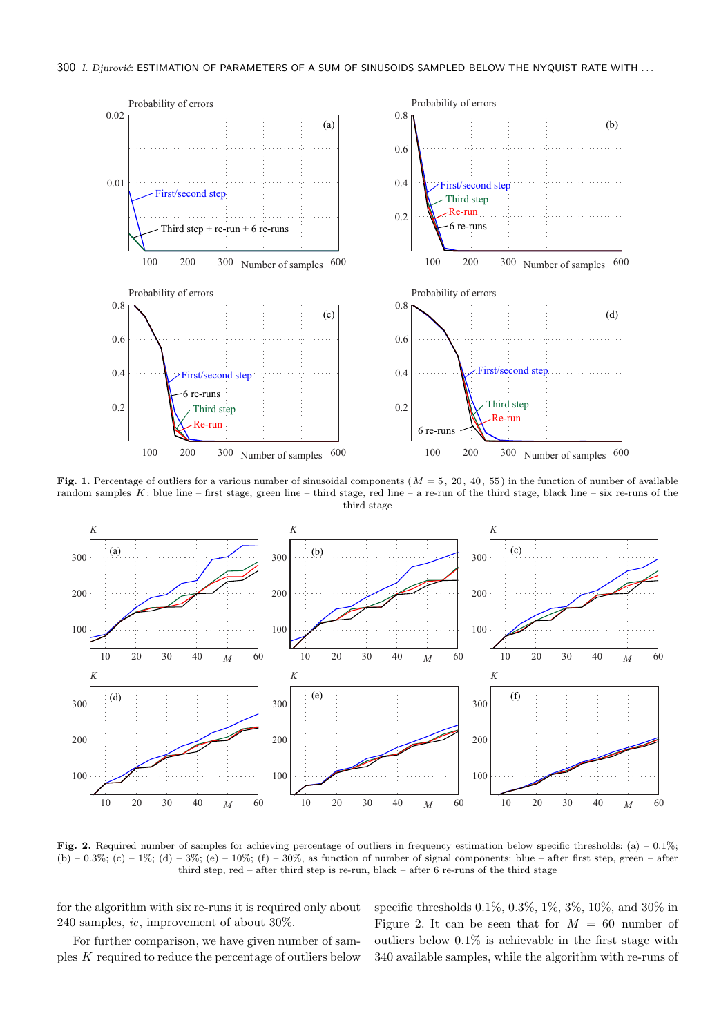

Fig. 1. Percentage of outliers for a various number of sinusoidal components ( $M = 5$ , 20, 40, 55) in the function of number of available random samples  $K$ : blue line – first stage, green line – third stage, red line – a re-run of the third stage, black line – six re-runs of the third stage



Fig. 2. Required number of samples for achieving percentage of outliers in frequency estimation below specific thresholds: (a) – 0.1%; (b) – 0.3%; (c) – 1%; (d) – 3%; (e) – 10%; (f) – 30%, as function of number of signal components: blue – after first step, green – after third step, red – after third step is re-run, black – after 6 re-runs of the third stage

for the algorithm with six re-runs it is required only about 240 samples, ie, improvement of about 30%.

For further comparison, we have given number of samples K required to reduce the percentage of outliers below specific thresholds 0.1%, 0.3%, 1%, 3%, 10%, and 30% in Figure 2. It can be seen that for  $M = 60$  number of outliers below 0.1% is achievable in the first stage with 340 available samples, while the algorithm with re-runs of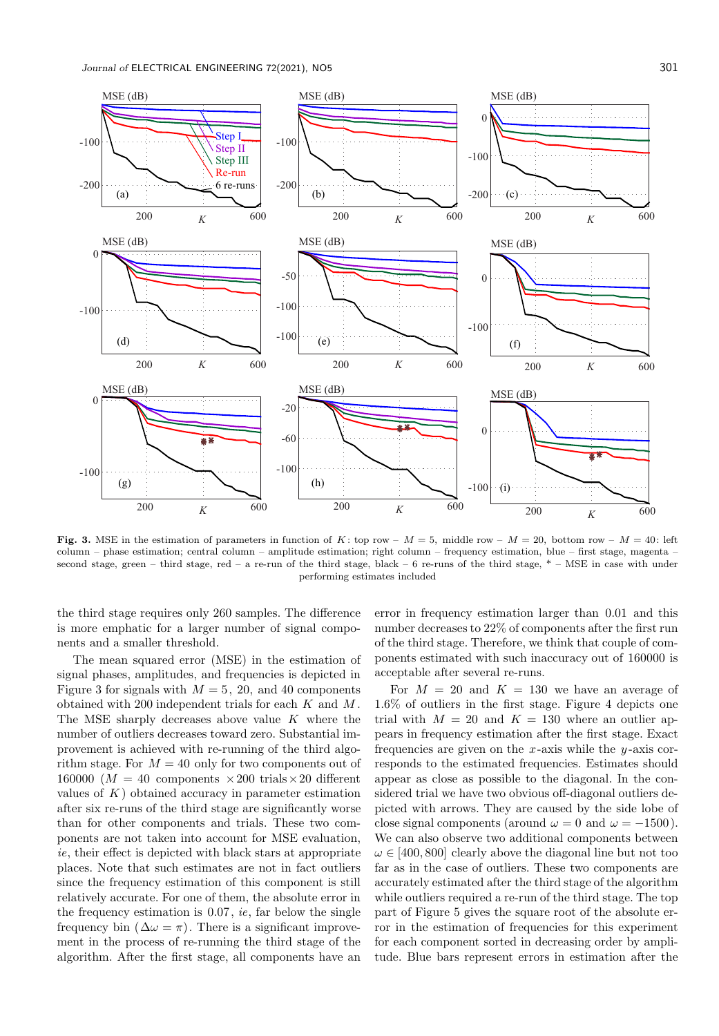

Fig. 3. MSE in the estimation of parameters in function of K; top row –  $M = 5$ , middle row –  $M = 20$ , bottom row –  $M = 40$ ; left column – phase estimation; central column – amplitude estimation; right column – frequency estimation, blue – first stage, magenta – second stage, green – third stage, red – a re-run of the third stage, black – 6 re-runs of the third stage,  $*$  – MSE in case with under performing estimates included

the third stage requires only 260 samples. The difference is more emphatic for a larger number of signal components and a smaller threshold.

The mean squared error (MSE) in the estimation of signal phases, amplitudes, and frequencies is depicted in Figure 3 for signals with  $M = 5$ , 20, and 40 components obtained with 200 independent trials for each K and M . The MSE sharply decreases above value  $K$  where the number of outliers decreases toward zero. Substantial improvement is achieved with re-running of the third algorithm stage. For  $M = 40$  only for two components out of 160000 ( $M = 40$  components  $\times 200$  trials  $\times 20$  different values of  $K$ ) obtained accuracy in parameter estimation after six re-runs of the third stage are significantly worse than for other components and trials. These two components are not taken into account for MSE evaluation, ie, their effect is depicted with black stars at appropriate places. Note that such estimates are not in fact outliers since the frequency estimation of this component is still relatively accurate. For one of them, the absolute error in the frequency estimation is  $0.07$ , *ie*, far below the single frequency bin ( $\Delta \omega = \pi$ ). There is a significant improvement in the process of re-running the third stage of the algorithm. After the first stage, all components have an error in frequency estimation larger than 0.01 and this number decreases to 22% of components after the first run of the third stage. Therefore, we think that couple of components estimated with such inaccuracy out of 160000 is acceptable after several re-runs.

For  $M = 20$  and  $K = 130$  we have an average of 1.6% of outliers in the first stage. Figure 4 depicts one trial with  $M = 20$  and  $K = 130$  where an outlier appears in frequency estimation after the first stage. Exact frequencies are given on the x-axis while the  $y$ -axis corresponds to the estimated frequencies. Estimates should appear as close as possible to the diagonal. In the considered trial we have two obvious off-diagonal outliers depicted with arrows. They are caused by the side lobe of close signal components (around  $\omega = 0$  and  $\omega = -1500$ ). We can also observe two additional components between  $\omega \in [400, 800]$  clearly above the diagonal line but not too far as in the case of outliers. These two components are accurately estimated after the third stage of the algorithm while outliers required a re-run of the third stage. The top part of Figure 5 gives the square root of the absolute error in the estimation of frequencies for this experiment for each component sorted in decreasing order by amplitude. Blue bars represent errors in estimation after the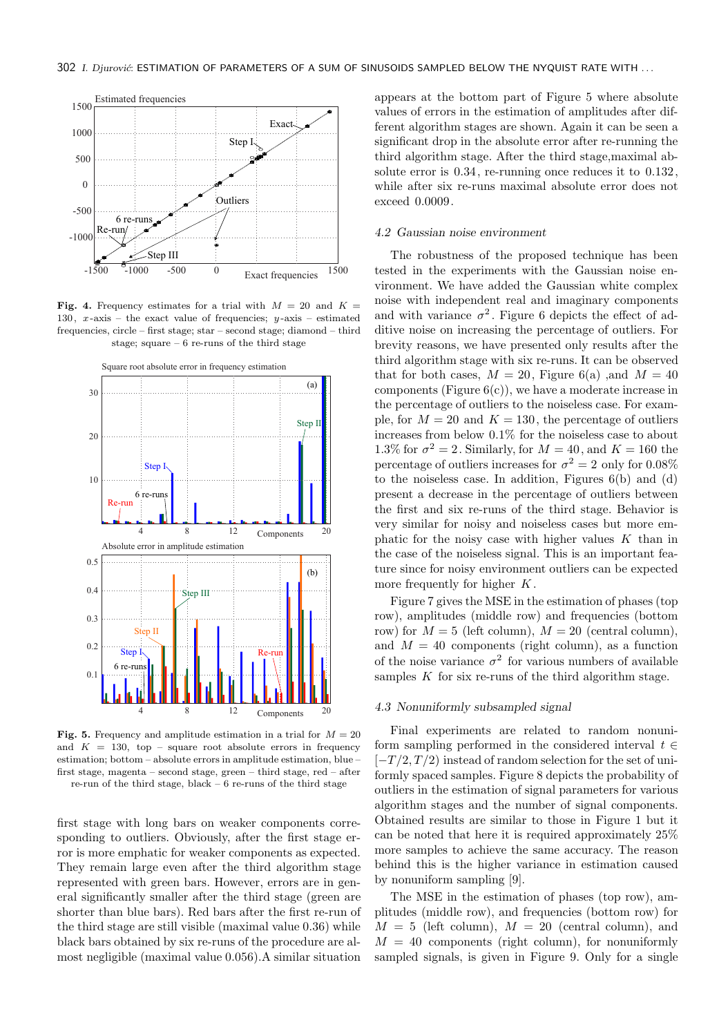

Fig. 4. Frequency estimates for a trial with  $M = 20$  and  $K =$ 130,  $x$ -axis – the exact value of frequencies;  $y$ -axis – estimated frequencies, circle – first stage; star – second stage; diamond – third stage; square  $-6$  re-runs of the third stage



Fig. 5. Frequency and amplitude estimation in a trial for  $M = 20$ and  $K = 130$ , top – square root absolute errors in frequency estimation; bottom – absolute errors in amplitude estimation, blue – first stage, magenta – second stage, green – third stage, red – after re-run of the third stage, black – 6 re-runs of the third stage

first stage with long bars on weaker components corresponding to outliers. Obviously, after the first stage error is more emphatic for weaker components as expected. They remain large even after the third algorithm stage represented with green bars. However, errors are in general significantly smaller after the third stage (green are shorter than blue bars). Red bars after the first re-run of the third stage are still visible (maximal value 0.36) while black bars obtained by six re-runs of the procedure are almost negligible (maximal value 0.056).A similar situation appears at the bottom part of Figure 5 where absolute values of errors in the estimation of amplitudes after different algorithm stages are shown. Again it can be seen a significant drop in the absolute error after re-running the third algorithm stage. After the third stage,maximal absolute error is 0.34, re-running once reduces it to 0.132, while after six re-runs maximal absolute error does not exceed 0.0009.

#### 4.2 Gaussian noise environment

The robustness of the proposed technique has been tested in the experiments with the Gaussian noise environment. We have added the Gaussian white complex noise with independent real and imaginary components and with variance  $\sigma^2$ . Figure 6 depicts the effect of additive noise on increasing the percentage of outliers. For brevity reasons, we have presented only results after the third algorithm stage with six re-runs. It can be observed that for both cases,  $M = 20$ , Figure 6(a), and  $M = 40$ components (Figure  $6(c)$ ), we have a moderate increase in the percentage of outliers to the noiseless case. For example, for  $M = 20$  and  $K = 130$ , the percentage of outliers increases from below 0.1% for the noiseless case to about 1.3% for  $\sigma^2 = 2$ . Similarly, for  $M = 40$ , and  $K = 160$  the percentage of outliers increases for  $\sigma^2 = 2$  only for 0.08% to the noiseless case. In addition, Figures 6(b) and (d) present a decrease in the percentage of outliers between the first and six re-runs of the third stage. Behavior is very similar for noisy and noiseless cases but more emphatic for the noisy case with higher values  $K$  than in the case of the noiseless signal. This is an important feature since for noisy environment outliers can be expected more frequently for higher  $K$ .

Figure 7 gives the MSE in the estimation of phases (top row), amplitudes (middle row) and frequencies (bottom row) for  $M = 5$  (left column),  $M = 20$  (central column), and  $M = 40$  components (right column), as a function of the noise variance  $\sigma^2$  for various numbers of available samples  $K$  for six re-runs of the third algorithm stage.

#### 4.3 Nonuniformly subsampled signal

Final experiments are related to random nonuniform sampling performed in the considered interval  $t \in$  $[-T/2, T/2]$  instead of random selection for the set of uniformly spaced samples. Figure 8 depicts the probability of outliers in the estimation of signal parameters for various algorithm stages and the number of signal components. Obtained results are similar to those in Figure 1 but it can be noted that here it is required approximately 25% more samples to achieve the same accuracy. The reason behind this is the higher variance in estimation caused by nonuniform sampling [9].

The MSE in the estimation of phases (top row), amplitudes (middle row), and frequencies (bottom row) for  $M = 5$  (left column),  $M = 20$  (central column), and  $M = 40$  components (right column), for nonuniformly sampled signals, is given in Figure 9. Only for a single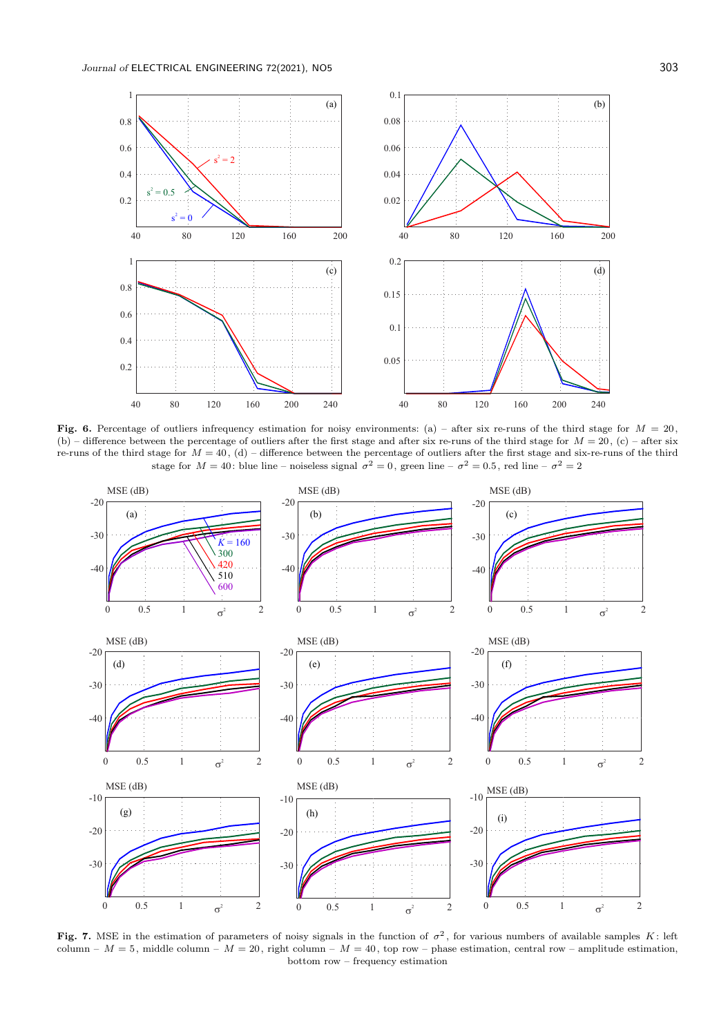

Fig. 6. Percentage of outliers infrequency estimation for noisy environments: (a) – after six re-runs of the third stage for  $M = 20$ , (b) – difference between the percentage of outliers after the first stage and after six re-runs of the third stage for  $M = 20$ , (c) – after six re-runs of the third stage for  $M = 40$ , (d) – difference between the percentage of outliers after the first stage and six-re-runs of the third stage for  $M = 40$ : blue line – noiseless signal  $\sigma^2 = 0$ , green line –  $\sigma^2 = 0.5$ , red line –  $\sigma^2 = 2$ 



Fig. 7. MSE in the estimation of parameters of noisy signals in the function of  $\sigma^2$ , for various numbers of available samples K: left column –  $M = 5$ , middle column –  $M = 20$ , right column –  $M = 40$ , top row – phase estimation, central row – amplitude estimation, bottom row – frequency estimation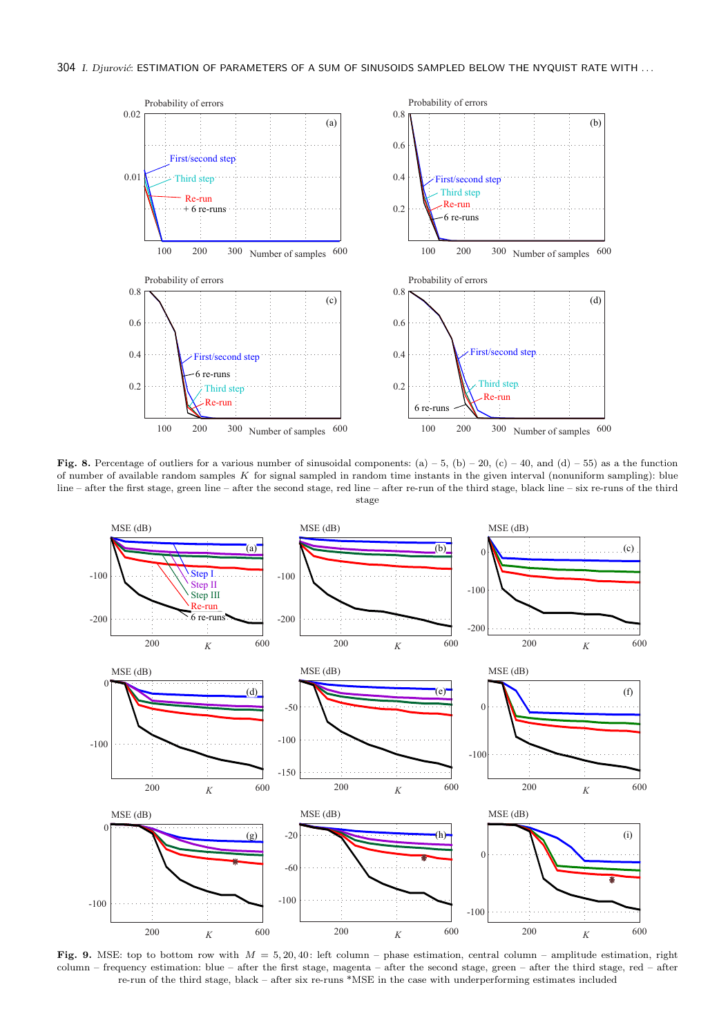

Fig. 8. Percentage of outliers for a various number of sinusoidal components: (a) – 5, (b) – 20, (c) – 40, and (d) – 55) as a the function of number of available random samples  $K$  for signal sampled in random time instants in the given interval (nonuniform sampling): blue line – after the first stage, green line – after the second stage, red line – after re-run of the third stage, black line – six re-runs of the third stage



Fig. 9. MSE: top to bottom row with  $M = 5, 20, 40$ : left column – phase estimation, central column – amplitude estimation, right column – frequency estimation: blue – after the first stage, magenta – after the second stage, green – after the third stage, red – after re-run of the third stage, black – after six re-runs \*MSE in the case with underperforming estimates included